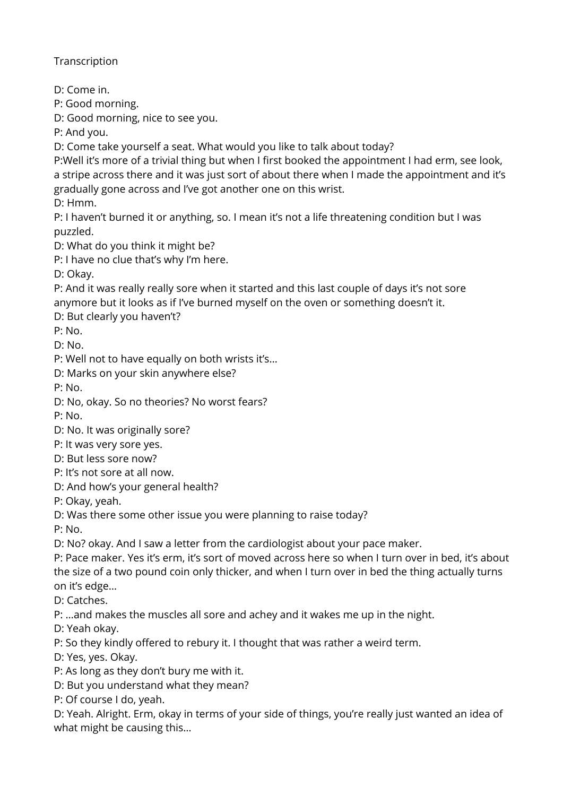**Transcription** 

D: Come in.

P: Good morning.

D: Good morning, nice to see you.

P: And you.

D: Come take yourself a seat. What would you like to talk about today?

P:Well it's more of a trivial thing but when I first booked the appointment I had erm, see look, a stripe across there and it was just sort of about there when I made the appointment and it's gradually gone across and I've got another one on this wrist.

D: Hmm.

P: I haven't burned it or anything, so. I mean it's not a life threatening condition but I was puzzled.

D: What do you think it might be?

P: I have no clue that's why I'm here.

D: Okay.

P: And it was really really sore when it started and this last couple of days it's not sore anymore but it looks as if I've burned myself on the oven or something doesn't it.

D: But clearly you haven't?

P: No.

D: No.

P: Well not to have equally on both wrists it's…

D: Marks on your skin anywhere else?

P: No.

D: No, okay. So no theories? No worst fears?

P: No.

D: No. It was originally sore?

P: It was very sore yes.

D: But less sore now?

P: It's not sore at all now.

D: And how's your general health?

P: Okay, yeah.

D: Was there some other issue you were planning to raise today?

P: No.

D: No? okay. And I saw a letter from the cardiologist about your pace maker.

P: Pace maker. Yes it's erm, it's sort of moved across here so when I turn over in bed, it's about the size of a two pound coin only thicker, and when I turn over in bed the thing actually turns on it's edge…

D: Catches.

P: …and makes the muscles all sore and achey and it wakes me up in the night.

D: Yeah okay.

P: So they kindly offered to rebury it. I thought that was rather a weird term.

D: Yes, yes. Okay.

P: As long as they don't bury me with it.

D: But you understand what they mean?

P: Of course I do, yeah.

D: Yeah. Alright. Erm, okay in terms of your side of things, you're really just wanted an idea of what might be causing this…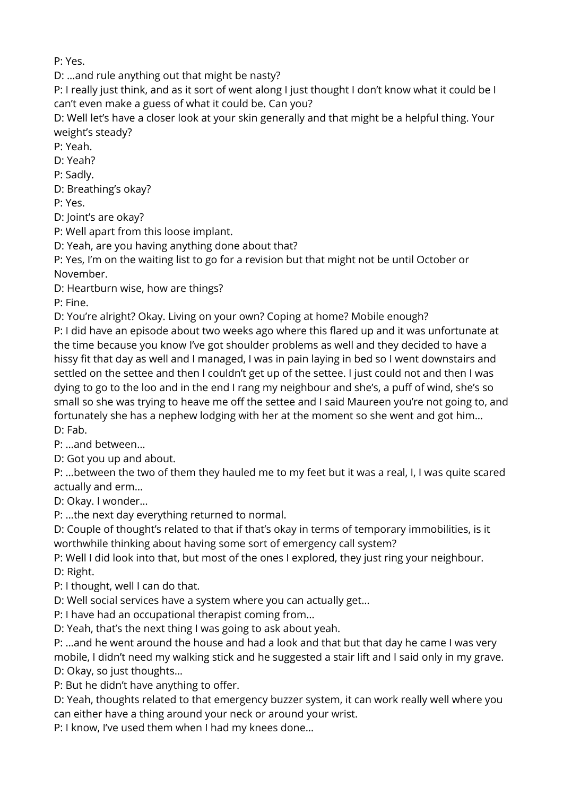P: Yes.

D: …and rule anything out that might be nasty?

P: I really just think, and as it sort of went along I just thought I don't know what it could be I can't even make a guess of what it could be. Can you?

D: Well let's have a closer look at your skin generally and that might be a helpful thing. Your weight's steady?

P: Yeah.

D: Yeah?

P: Sadly.

D: Breathing's okay?

P: Yes.

D: Joint's are okay?

P: Well apart from this loose implant.

D: Yeah, are you having anything done about that?

P: Yes, I'm on the waiting list to go for a revision but that might not be until October or November.

D: Heartburn wise, how are things?

P: Fine.

D: You're alright? Okay. Living on your own? Coping at home? Mobile enough?

P: I did have an episode about two weeks ago where this flared up and it was unfortunate at the time because you know I've got shoulder problems as well and they decided to have a hissy fit that day as well and I managed, I was in pain laying in bed so I went downstairs and settled on the settee and then I couldn't get up of the settee. I just could not and then I was dying to go to the loo and in the end I rang my neighbour and she's, a puff of wind, she's so small so she was trying to heave me off the settee and I said Maureen you're not going to, and fortunately she has a nephew lodging with her at the moment so she went and got him… D: Fab.

P: …and between…

D: Got you up and about.

P: …between the two of them they hauled me to my feet but it was a real, I, I was quite scared actually and erm…

D: Okay. I wonder…

P: …the next day everything returned to normal.

D: Couple of thought's related to that if that's okay in terms of temporary immobilities, is it worthwhile thinking about having some sort of emergency call system?

P: Well I did look into that, but most of the ones I explored, they just ring your neighbour.

D: Right.

P: I thought, well I can do that.

D: Well social services have a system where you can actually get…

P: I have had an occupational therapist coming from…

D: Yeah, that's the next thing I was going to ask about yeah.

P: …and he went around the house and had a look and that but that day he came I was very mobile, I didn't need my walking stick and he suggested a stair lift and I said only in my grave. D: Okay, so just thoughts…

P: But he didn't have anything to offer.

D: Yeah, thoughts related to that emergency buzzer system, it can work really well where you can either have a thing around your neck or around your wrist.

P: I know, I've used them when I had my knees done…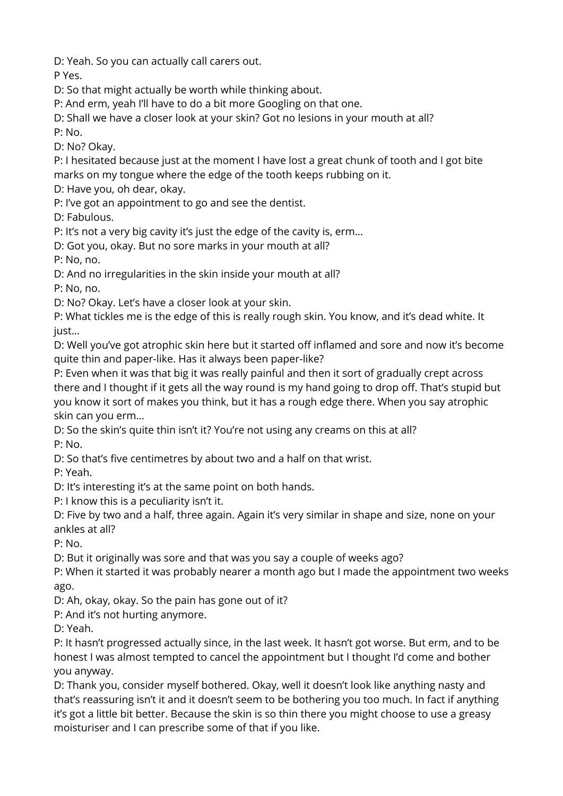D: Yeah. So you can actually call carers out.

P Yes.

D: So that might actually be worth while thinking about.

P: And erm, yeah I'll have to do a bit more Googling on that one.

D: Shall we have a closer look at your skin? Got no lesions in your mouth at all?

P: No.

D: No? Okay.

P: I hesitated because just at the moment I have lost a great chunk of tooth and I got bite marks on my tongue where the edge of the tooth keeps rubbing on it.

D: Have you, oh dear, okay.

P: I've got an appointment to go and see the dentist.

D: Fabulous.

P: It's not a very big cavity it's just the edge of the cavity is, erm…

D: Got you, okay. But no sore marks in your mouth at all?

P: No, no.

D: And no irregularities in the skin inside your mouth at all?

P: No, no.

D: No? Okay. Let's have a closer look at your skin.

P: What tickles me is the edge of this is really rough skin. You know, and it's dead white. It just…

D: Well you've got atrophic skin here but it started off inflamed and sore and now it's become quite thin and paper-like. Has it always been paper-like?

P: Even when it was that big it was really painful and then it sort of gradually crept across there and I thought if it gets all the way round is my hand going to drop off. That's stupid but you know it sort of makes you think, but it has a rough edge there. When you say atrophic skin can you erm…

D: So the skin's quite thin isn't it? You're not using any creams on this at all? P: No.

D: So that's five centimetres by about two and a half on that wrist.

P: Yeah.

D: It's interesting it's at the same point on both hands.

P: I know this is a peculiarity isn't it.

D: Five by two and a half, three again. Again it's very similar in shape and size, none on your ankles at all?

P: No.

D: But it originally was sore and that was you say a couple of weeks ago?

P: When it started it was probably nearer a month ago but I made the appointment two weeks ago.

D: Ah, okay, okay. So the pain has gone out of it?

P: And it's not hurting anymore.

D: Yeah.

P: It hasn't progressed actually since, in the last week. It hasn't got worse. But erm, and to be honest I was almost tempted to cancel the appointment but I thought I'd come and bother you anyway.

D: Thank you, consider myself bothered. Okay, well it doesn't look like anything nasty and that's reassuring isn't it and it doesn't seem to be bothering you too much. In fact if anything it's got a little bit better. Because the skin is so thin there you might choose to use a greasy moisturiser and I can prescribe some of that if you like.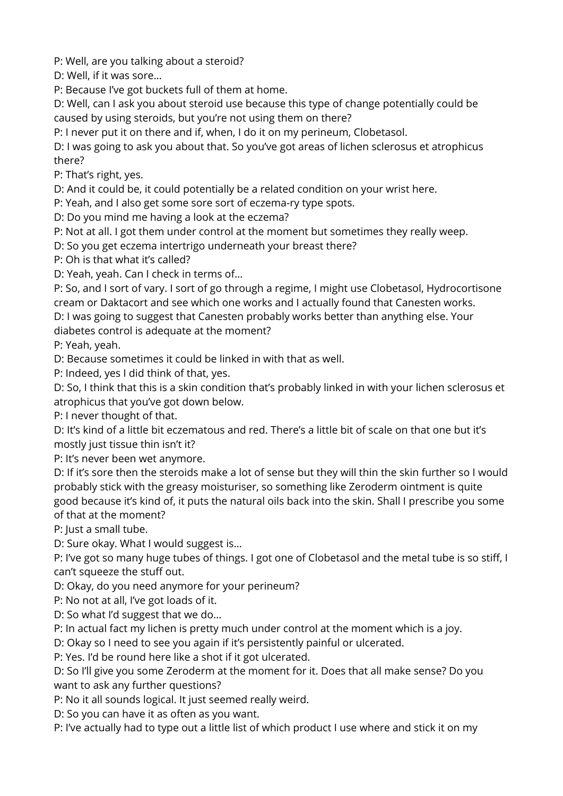P: Well, are you talking about a steroid?

D: Well, if it was sore…

P: Because I've got buckets full of them at home.

D: Well, can I ask you about steroid use because this type of change potentially could be caused by using steroids, but you're not using them on there?

P: I never put it on there and if, when, I do it on my perineum, Clobetasol.

D: I was going to ask you about that. So you've got areas of lichen sclerosus et atrophicus there?

P: That's right, yes.

D: And it could be, it could potentially be a related condition on your wrist here.

P: Yeah, and I also get some sore sort of eczema-ry type spots.

D: Do you mind me having a look at the eczema?

P: Not at all. I got them under control at the moment but sometimes they really weep.

D: So you get eczema intertrigo underneath your breast there?

P: Oh is that what it's called?

D: Yeah, yeah. Can I check in terms of…

P: So, and I sort of vary. I sort of go through a regime, I might use Clobetasol, Hydrocortisone cream or Daktacort and see which one works and I actually found that Canesten works.

D: I was going to suggest that Canesten probably works better than anything else. Your diabetes control is adequate at the moment?

P: Yeah, yeah.

D: Because sometimes it could be linked in with that as well.

P: Indeed, yes I did think of that, yes.

D: So, I think that this is a skin condition that's probably linked in with your lichen sclerosus et atrophicus that you've got down below.

P: I never thought of that.

D: It's kind of a little bit eczematous and red. There's a little bit of scale on that one but it's mostly just tissue thin isn't it?

P: It's never been wet anymore.

D: If it's sore then the steroids make a lot of sense but they will thin the skin further so I would probably stick with the greasy moisturiser, so something like Zeroderm ointment is quite good because it's kind of, it puts the natural oils back into the skin. Shall I prescribe you some of that at the moment?

P: Just a small tube.

D: Sure okay. What I would suggest is…

P: I've got so many huge tubes of things. I got one of Clobetasol and the metal tube is so stiff, I can't squeeze the stuff out.

D: Okay, do you need anymore for your perineum?

P: No not at all, I've got loads of it.

D: So what I'd suggest that we do…

P: In actual fact my lichen is pretty much under control at the moment which is a joy.

D: Okay so I need to see you again if it's persistently painful or ulcerated.

P: Yes. I'd be round here like a shot if it got ulcerated.

D: So I'll give you some Zeroderm at the moment for it. Does that all make sense? Do you want to ask any further questions?

P: No it all sounds logical. It just seemed really weird.

D: So you can have it as often as you want.

P: I've actually had to type out a little list of which product I use where and stick it on my